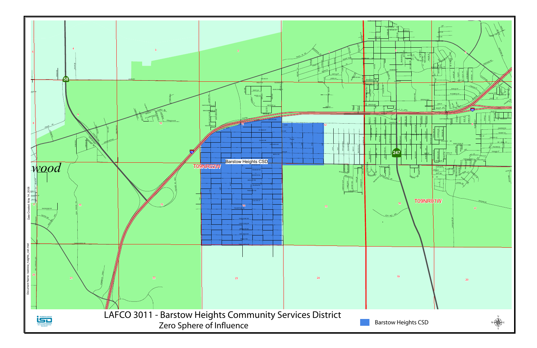